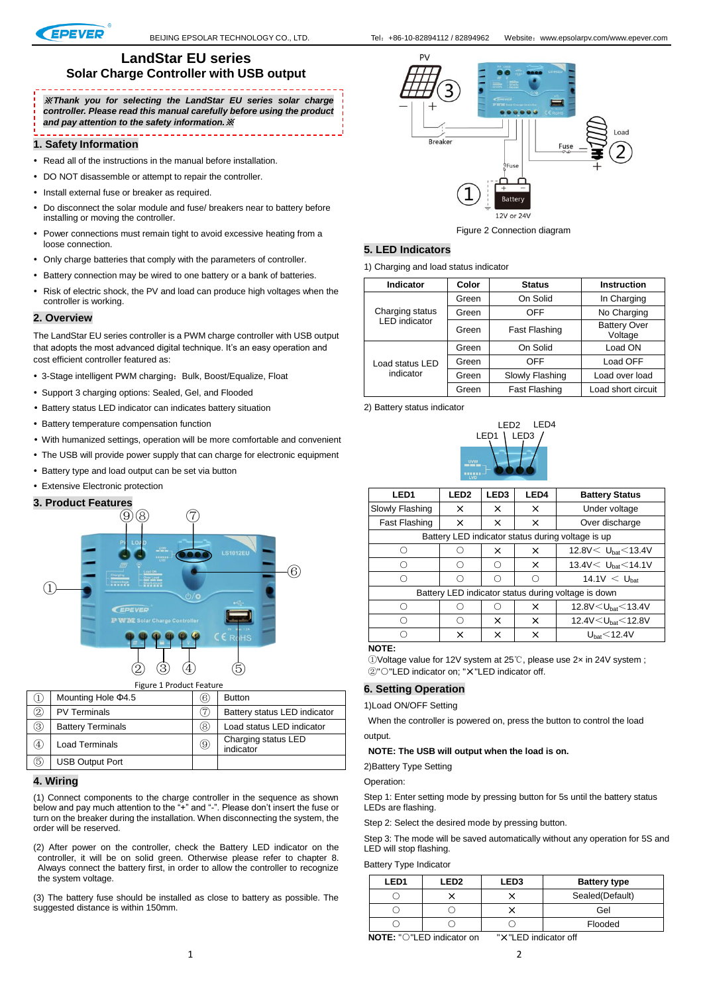

. . . . . . . . . . . . . . . .

### **LandStar EU series Solar Charge Controller with USB output**

# -------------

※*Thank you for selecting the LandStar EU series solar charge controller. Please read this manual carefully before using the product and pay attention to the safety information.*※

#### **1. Safety Information**

- Read all of the instructions in the manual before installation.
- DO NOT disassemble or attempt to repair the controller.
- Install external fuse or breaker as required.
- Do disconnect the solar module and fuse/ breakers near to battery before installing or moving the controller.
- Power connections must remain tight to avoid excessive heating from a loose connection.
- Only charge batteries that comply with the parameters of controller.
- Battery connection may be wired to one battery or a bank of batteries.
- Risk of electric shock, the PV and load can produce high voltages when the controller is working.

#### **2. Overview**

The LandStar EU series controller is a PWM charge controller with USB output that adopts the most advanced digital technique. It's an easy operation and cost efficient controller featured as:

- 3-Stage intelligent PWM charging: Bulk, Boost/Equalize, Float
- Support 3 charging options: Sealed, Gel, and Flooded
- Battery status LED indicator can indicates battery situation
- Battery temperature compensation function
- With humanized settings, operation will be more comfortable and convenient
- The USB will provide power supply that can charge for electronic equipment
- Battery type and load output can be set via button
- Extensive Electronic protection

### **3. Product Features**



|                | Mounting Hole $\Phi$ 4.5 | 6) | <b>Button</b>                    |
|----------------|--------------------------|----|----------------------------------|
| $^{\circledR}$ | <b>PV Terminals</b>      |    | Battery status LED indicator     |
| 3              | <b>Battery Terminals</b> | 8) | Load status LED indicator        |
| (4)            | <b>Load Terminals</b>    | 9) | Charging status LED<br>indicator |
| (5             | <b>USB Output Port</b>   |    |                                  |

### **4. Wiring**

(1) Connect components to the charge controller in the sequence as shown below and pay much attention to the "+" and "-". Please don't insert the fuse or turn on the breaker during the installation. When disconnecting the system, the order will be reserved.

(2) After power on the controller, check the Battery LED indicator on the controller, it will be on solid green. Otherwise please refer to chapter 8. Always connect the battery first, in order to allow the controller to recognize the system voltage.

(3) The battery fuse should be installed as close to battery as possible. The suggested distance is within 150mm.



Figure 2 Connection diagram

## **5. LED Indicators**

1) Charging and load status indicator

| Indicator            | Color | <b>Status</b>        | <b>Instruction</b>             |
|----------------------|-------|----------------------|--------------------------------|
|                      | Green | On Solid             | In Charging                    |
| Charging status      | Green | OFF                  | No Charging                    |
| <b>LED</b> indicator | Green | Fast Flashing        | <b>Battery Over</b><br>Voltage |
|                      | Green | On Solid             | Load ON                        |
| Load status LED      | Green | OFF                  | Load OFF                       |
| indicator            | Green | Slowly Flashing      | Load over load                 |
|                      | Green | <b>Fast Flashing</b> | Load short circuit             |

2) Battery status indicator



| LED <sub>1</sub>                                    | LED <sub>2</sub> | LED <sub>3</sub> | LED4 | <b>Battery Status</b>                |  |  |
|-----------------------------------------------------|------------------|------------------|------|--------------------------------------|--|--|
| Slowly Flashing                                     | x                | x                | x    | Under voltage                        |  |  |
| <b>Fast Flashing</b>                                | x                | x                | x    | Over discharge                       |  |  |
| Battery LED indicator status during voltage is up   |                  |                  |      |                                      |  |  |
|                                                     | ∩                | x                | ×    | 12.8V $< U_{\text{hat}}$ < 13.4V     |  |  |
|                                                     | ∩                | ◯                | ×    | 13.4V $U_{\text{hat}}$ < 14.1V       |  |  |
| . .                                                 | ◯                | ∩                |      | $14.1V < U_{\text{hat}}$             |  |  |
| Battery LED indicator status during voltage is down |                  |                  |      |                                      |  |  |
|                                                     | ( )              | ( )              | ×    | 12.8V $<$ U <sub>hat</sub> $<$ 13.4V |  |  |
| ( )                                                 | ∩                | x                | x    | 12.4V $<$ U <sub>hat</sub> $<$ 12.8V |  |  |
|                                                     | x                | x                | ×    | U <sub>hat</sub> < 12.4V             |  |  |
|                                                     |                  |                  |      |                                      |  |  |

#### **NOTE:**

①Voltage value for 12V system at 25℃, please use 2× in 24V system ; ②"○"LED indicator on; "×"LED indicator off.

### **6. Setting Operation**

1)Load ON/OFF Setting

When the controller is powered on, press the button to control the load output.

**NOTE: The USB will output when the load is on.** 

2)Battery Type Setting

Operation:

Step 1: Enter setting mode by pressing button for 5s until the battery status LEDs are flashing.

Step 2: Select the desired mode by pressing button.

Step 3: The mode will be saved automatically without any operation for 5S and LED will stop flashing.

Battery Type Indicator

| LED <sub>1</sub> | LED <sub>2</sub> | <b>LED3</b> | <b>Battery type</b> |
|------------------|------------------|-------------|---------------------|
|                  |                  |             | Sealed(Default)     |
|                  |                  |             | Gel                 |
|                  |                  |             | Flooded             |

**NOTE:** "○"LED indicator on "×"LED indicator off